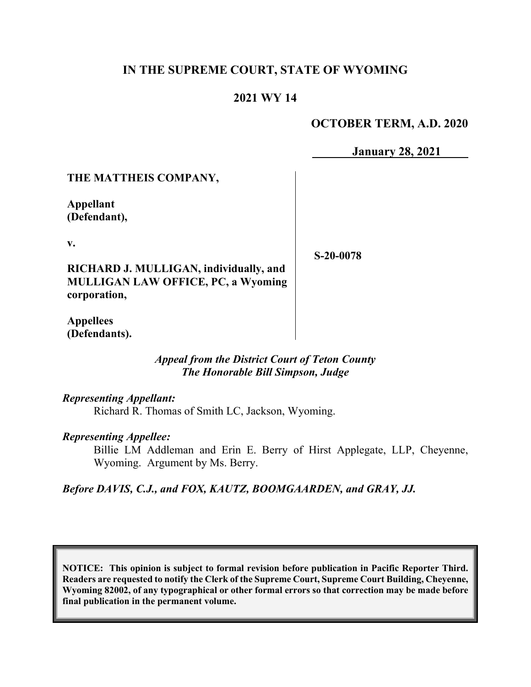## **IN THE SUPREME COURT, STATE OF WYOMING**

# **2021 WY 14**

## **OCTOBER TERM, A.D. 2020**

**January 28, 2021**

### **THE MATTHEIS COMPANY,**

**Appellant (Defendant),**

**v.**

**S-20-0078**

**RICHARD J. MULLIGAN, individually, and MULLIGAN LAW OFFICE, PC, a Wyoming corporation,**

**Appellees (Defendants).**

> *Appeal from the District Court of Teton County The Honorable Bill Simpson, Judge*

*Representing Appellant:*

Richard R. Thomas of Smith LC, Jackson, Wyoming.

#### *Representing Appellee:*

Billie LM Addleman and Erin E. Berry of Hirst Applegate, LLP, Cheyenne, Wyoming. Argument by Ms. Berry.

*Before DAVIS, C.J., and FOX, KAUTZ, BOOMGAARDEN, and GRAY, JJ.*

**NOTICE: This opinion is subject to formal revision before publication in Pacific Reporter Third. Readers are requested to notify the Clerk of the Supreme Court, Supreme Court Building, Cheyenne, Wyoming 82002, of any typographical or other formal errors so that correction may be made before final publication in the permanent volume.**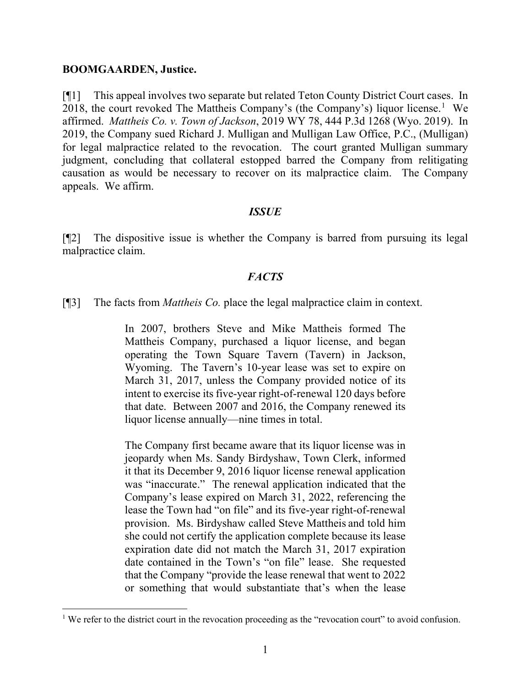#### **BOOMGAARDEN, Justice.**

[¶1] This appeal involves two separate but related Teton County District Court cases. In 2018, the court revoked The Mattheis Company's (the Company's) liquor license. [1](#page-1-0) We affirmed. *Mattheis Co. v. Town of Jackson*, 2019 WY 78, 444 P.3d 1268 (Wyo. 2019). In 2019, the Company sued Richard J. Mulligan and Mulligan Law Office, P.C., (Mulligan) for legal malpractice related to the revocation. The court granted Mulligan summary judgment, concluding that collateral estopped barred the Company from relitigating causation as would be necessary to recover on its malpractice claim. The Company appeals. We affirm.

#### *ISSUE*

[¶2] The dispositive issue is whether the Company is barred from pursuing its legal malpractice claim.

### *FACTS*

[¶3] The facts from *Mattheis Co.* place the legal malpractice claim in context.

In 2007, brothers Steve and Mike Mattheis formed The Mattheis Company, purchased a liquor license, and began operating the Town Square Tavern (Tavern) in Jackson, Wyoming. The Tavern's 10-year lease was set to expire on March 31, 2017, unless the Company provided notice of its intent to exercise its five-year right-of-renewal 120 days before that date. Between 2007 and 2016, the Company renewed its liquor license annually—nine times in total.

The Company first became aware that its liquor license was in jeopardy when Ms. Sandy Birdyshaw, Town Clerk, informed it that its December 9, 2016 liquor license renewal application was "inaccurate." The renewal application indicated that the Company's lease expired on March 31, 2022, referencing the lease the Town had "on file" and its five-year right-of-renewal provision. Ms. Birdyshaw called Steve Mattheis and told him she could not certify the application complete because its lease expiration date did not match the March 31, 2017 expiration date contained in the Town's "on file" lease. She requested that the Company "provide the lease renewal that went to 2022 or something that would substantiate that's when the lease

<span id="page-1-0"></span><sup>&</sup>lt;sup>1</sup> We refer to the district court in the revocation proceeding as the "revocation court" to avoid confusion.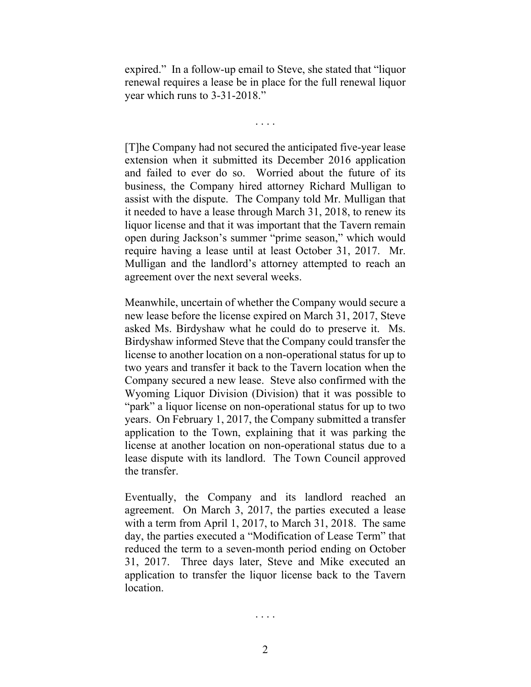expired." In a follow-up email to Steve, she stated that "liquor renewal requires a lease be in place for the full renewal liquor year which runs to 3-31-2018."

. . . .

[T]he Company had not secured the anticipated five-year lease extension when it submitted its December 2016 application and failed to ever do so. Worried about the future of its business, the Company hired attorney Richard Mulligan to assist with the dispute. The Company told Mr. Mulligan that it needed to have a lease through March 31, 2018, to renew its liquor license and that it was important that the Tavern remain open during Jackson's summer "prime season," which would require having a lease until at least October 31, 2017. Mr. Mulligan and the landlord's attorney attempted to reach an agreement over the next several weeks.

Meanwhile, uncertain of whether the Company would secure a new lease before the license expired on March 31, 2017, Steve asked Ms. Birdyshaw what he could do to preserve it. Ms. Birdyshaw informed Steve that the Company could transfer the license to another location on a non-operational status for up to two years and transfer it back to the Tavern location when the Company secured a new lease. Steve also confirmed with the Wyoming Liquor Division (Division) that it was possible to "park" a liquor license on non-operational status for up to two years. On February 1, 2017, the Company submitted a transfer application to the Town, explaining that it was parking the license at another location on non-operational status due to a lease dispute with its landlord. The Town Council approved the transfer.

Eventually, the Company and its landlord reached an agreement. On March 3, 2017, the parties executed a lease with a term from April 1, 2017, to March 31, 2018. The same day, the parties executed a "Modification of Lease Term" that reduced the term to a seven-month period ending on October 31, 2017. Three days later, Steve and Mike executed an application to transfer the liquor license back to the Tavern location.

. . . .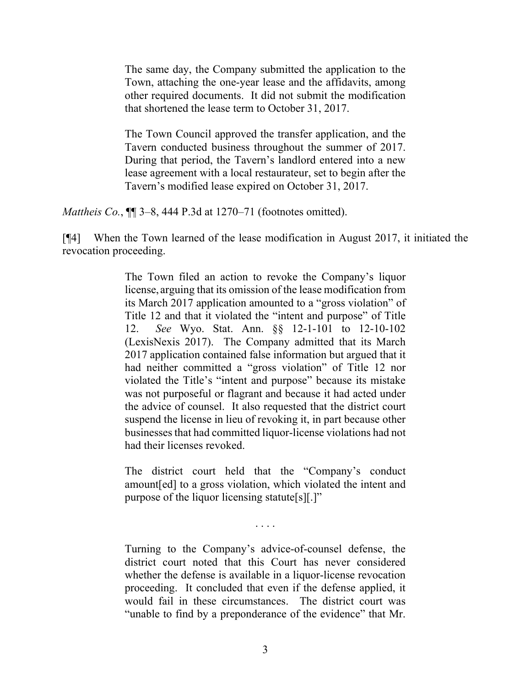The same day, the Company submitted the application to the Town, attaching the one-year lease and the affidavits, among other required documents. It did not submit the modification that shortened the lease term to October 31, 2017.

The Town Council approved the transfer application, and the Tavern conducted business throughout the summer of 2017. During that period, the Tavern's landlord entered into a new lease agreement with a local restaurateur, set to begin after the Tavern's modified lease expired on October 31, 2017.

*Mattheis Co.*, ¶¶ 3–8, 444 P.3d at 1270–71 (footnotes omitted).

[¶4] When the Town learned of the lease modification in August 2017, it initiated the revocation proceeding.

> The Town filed an action to revoke the Company's liquor license, arguing that its omission of the lease modification from its March 2017 application amounted to a "gross violation" of Title 12 and that it violated the "intent and purpose" of Title 12. *See* Wyo. Stat. Ann. §§ 12-1-101 to 12-10-102 (LexisNexis 2017). The Company admitted that its March 2017 application contained false information but argued that it had neither committed a "gross violation" of Title 12 nor violated the Title's "intent and purpose" because its mistake was not purposeful or flagrant and because it had acted under the advice of counsel. It also requested that the district court suspend the license in lieu of revoking it, in part because other businesses that had committed liquor-license violations had not had their licenses revoked.

> The district court held that the "Company's conduct amount[ed] to a gross violation, which violated the intent and purpose of the liquor licensing statute[s][.]"

> > . . . .

Turning to the Company's advice-of-counsel defense, the district court noted that this Court has never considered whether the defense is available in a liquor-license revocation proceeding. It concluded that even if the defense applied, it would fail in these circumstances. The district court was "unable to find by a preponderance of the evidence" that Mr.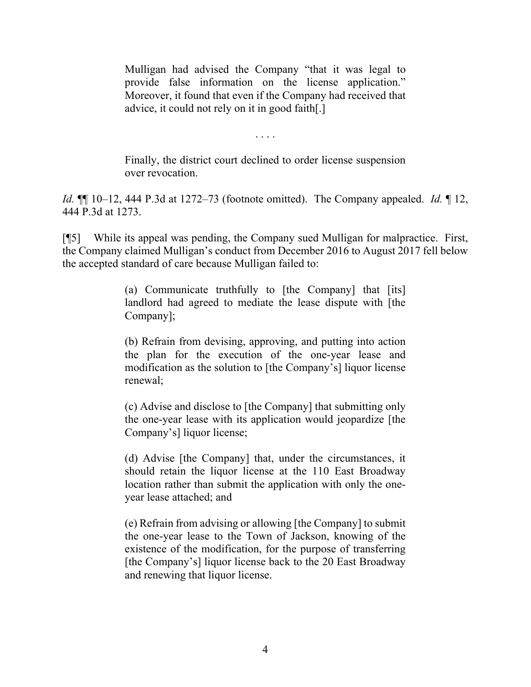Mulligan had advised the Company "that it was legal to provide false information on the license application." Moreover, it found that even if the Company had received that advice, it could not rely on it in good faith[.]

. . . .

Finally, the district court declined to order license suspension over revocation.

*Id.* ¶¶ 10–12, 444 P.3d at 1272–73 (footnote omitted). The Company appealed. *Id.* ¶ 12, 444 P.3d at 1273.

[¶5] While its appeal was pending, the Company sued Mulligan for malpractice. First, the Company claimed Mulligan's conduct from December 2016 to August 2017 fell below the accepted standard of care because Mulligan failed to:

> (a) Communicate truthfully to [the Company] that [its] landlord had agreed to mediate the lease dispute with [the Company];

> (b) Refrain from devising, approving, and putting into action the plan for the execution of the one-year lease and modification as the solution to [the Company's] liquor license renewal;

> (c) Advise and disclose to [the Company] that submitting only the one-year lease with its application would jeopardize [the Company's] liquor license;

> (d) Advise [the Company] that, under the circumstances, it should retain the liquor license at the 110 East Broadway location rather than submit the application with only the oneyear lease attached; and

> (e) Refrain from advising or allowing [the Company] to submit the one-year lease to the Town of Jackson, knowing of the existence of the modification, for the purpose of transferring [the Company's] liquor license back to the 20 East Broadway and renewing that liquor license.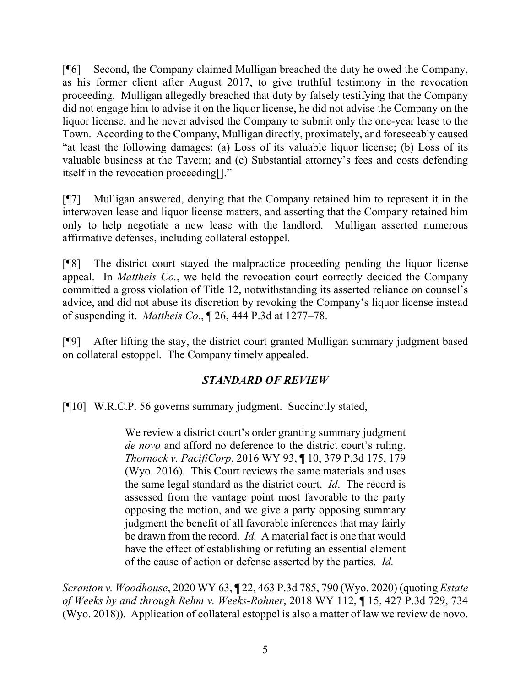[¶6] Second, the Company claimed Mulligan breached the duty he owed the Company, as his former client after August 2017, to give truthful testimony in the revocation proceeding. Mulligan allegedly breached that duty by falsely testifying that the Company did not engage him to advise it on the liquor license, he did not advise the Company on the liquor license, and he never advised the Company to submit only the one-year lease to the Town. According to the Company, Mulligan directly, proximately, and foreseeably caused "at least the following damages: (a) Loss of its valuable liquor license; (b) Loss of its valuable business at the Tavern; and (c) Substantial attorney's fees and costs defending itself in the revocation proceeding[]."

[¶7] Mulligan answered, denying that the Company retained him to represent it in the interwoven lease and liquor license matters, and asserting that the Company retained him only to help negotiate a new lease with the landlord. Mulligan asserted numerous affirmative defenses, including collateral estoppel.

[¶8] The district court stayed the malpractice proceeding pending the liquor license appeal. In *Mattheis Co.*, we held the revocation court correctly decided the Company committed a gross violation of Title 12, notwithstanding its asserted reliance on counsel's advice, and did not abuse its discretion by revoking the Company's liquor license instead of suspending it. *Mattheis Co.*, ¶ 26, 444 P.3d at 1277–78.

[¶9] After lifting the stay, the district court granted Mulligan summary judgment based on collateral estoppel. The Company timely appealed.

# *STANDARD OF REVIEW*

[¶10] W.R.C.P. 56 governs summary judgment. Succinctly stated,

We review a district court's order granting summary judgment *de novo* and afford no deference to the district court's ruling. *Thornock v. PacifiCorp*, 2016 WY 93, ¶ 10, 379 P.3d 175, 179 (Wyo. 2016). This Court reviews the same materials and uses the same legal standard as the district court. *Id*. The record is assessed from the vantage point most favorable to the party opposing the motion, and we give a party opposing summary judgment the benefit of all favorable inferences that may fairly be drawn from the record. *Id.* A material fact is one that would have the effect of establishing or refuting an essential element of the cause of action or defense asserted by the parties. *Id.*

*Scranton v. Woodhouse*, 2020 WY 63, ¶ 22, 463 P.3d 785, 790 (Wyo. 2020) (quoting *Estate of Weeks by and through Rehm v. Weeks-Rohner*, 2018 WY 112, ¶ 15, 427 P.3d 729, 734 (Wyo. 2018)). Application of collateral estoppel is also a matter of law we review de novo.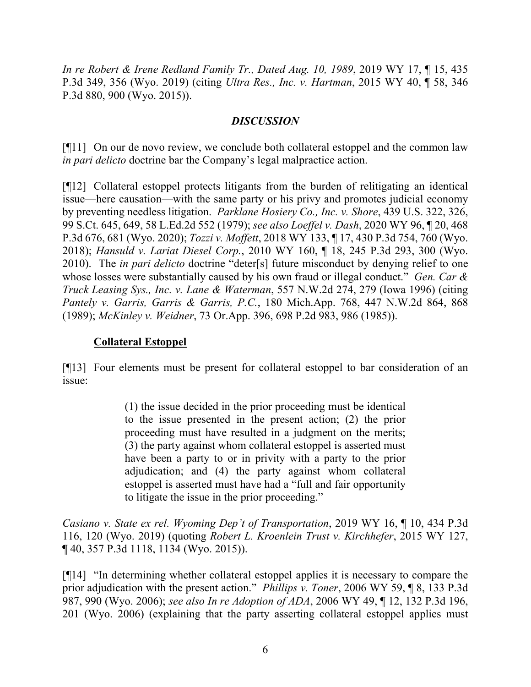*In re Robert & Irene Redland Family Tr., Dated Aug. 10, 1989*, 2019 WY 17, ¶ 15, 435 P.3d 349, 356 (Wyo. 2019) (citing *Ultra Res., Inc. v. Hartman*, 2015 WY 40, ¶ 58, 346 P.3d 880, 900 (Wyo. 2015)).

#### *DISCUSSION*

[¶11] On our de novo review, we conclude both collateral estoppel and the common law *in pari delicto* doctrine bar the Company's legal malpractice action.

[¶12] Collateral estoppel protects litigants from the burden of relitigating an identical issue—here causation—with the same party or his privy and promotes judicial economy by preventing needless litigation. *Parklane Hosiery Co., Inc. v. Shore*, 439 U.S. 322, 326, 99 S.Ct. 645, 649, 58 L.Ed.2d 552 (1979); *see also Loeffel v. Dash*, 2020 WY 96, ¶ 20, 468 P.3d 676, 681 (Wyo. 2020); *Tozzi v. Moffett*, 2018 WY 133, ¶ 17, 430 P.3d 754, 760 (Wyo. 2018); *Hansuld v. Lariat Diesel Corp.*, 2010 WY 160, ¶ 18, 245 P.3d 293, 300 (Wyo. 2010). The *in pari delicto* doctrine "deter[s] future misconduct by denying relief to one whose losses were substantially caused by his own fraud or illegal conduct." *Gen. Car & Truck Leasing Sys., Inc. v. Lane & Waterman*, 557 N.W.2d 274, 279 (Iowa 1996) (citing *Pantely v. Garris, Garris & Garris, P.C.*, 180 Mich.App. 768, 447 N.W.2d 864, 868 (1989); *McKinley v. Weidner*, 73 Or.App. 396, 698 P.2d 983, 986 (1985)).

# **Collateral Estoppel**

[¶13] Four elements must be present for collateral estoppel to bar consideration of an issue:

> (1) the issue decided in the prior proceeding must be identical to the issue presented in the present action; (2) the prior proceeding must have resulted in a judgment on the merits; (3) the party against whom collateral estoppel is asserted must have been a party to or in privity with a party to the prior adjudication; and (4) the party against whom collateral estoppel is asserted must have had a "full and fair opportunity to litigate the issue in the prior proceeding."

*Casiano v. State ex rel. Wyoming Dep't of Transportation*, 2019 WY 16, ¶ 10, 434 P.3d 116, 120 (Wyo. 2019) (quoting *Robert L. Kroenlein Trust v. Kirchhefer*, 2015 WY 127, ¶ 40, 357 P.3d 1118, 1134 (Wyo. 2015)).

[¶14] "In determining whether collateral estoppel applies it is necessary to compare the prior adjudication with the present action." *Phillips v. Toner*, 2006 WY 59, ¶ 8, 133 P.3d 987, 990 (Wyo. 2006); *see also In re Adoption of ADA*, 2006 WY 49, ¶ 12, 132 P.3d 196, 201 (Wyo. 2006) (explaining that the party asserting collateral estoppel applies must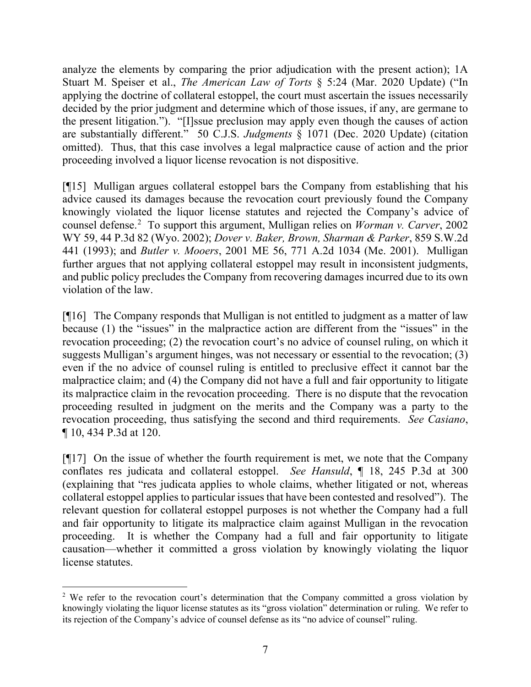analyze the elements by comparing the prior adjudication with the present action); 1A Stuart M. Speiser et al., *The American Law of Torts* § 5:24 (Mar. 2020 Update) ("In applying the doctrine of collateral estoppel, the court must ascertain the issues necessarily decided by the prior judgment and determine which of those issues, if any, are germane to the present litigation."). "[I]ssue preclusion may apply even though the causes of action are substantially different." 50 C.J.S. *Judgments* § 1071 (Dec. 2020 Update) (citation omitted). Thus, that this case involves a legal malpractice cause of action and the prior proceeding involved a liquor license revocation is not dispositive.

[¶15] Mulligan argues collateral estoppel bars the Company from establishing that his advice caused its damages because the revocation court previously found the Company knowingly violated the liquor license statutes and rejected the Company's advice of counsel defense.[2](#page-7-0) To support this argument, Mulligan relies on *Worman v. Carver*, 2002 WY 59, 44 P.3d 82 (Wyo. 2002); *Dover v. Baker, Brown, Sharman & Parker*, 859 S.W.2d 441 (1993); and *Butler v. Mooers*, 2001 ME 56, 771 A.2d 1034 (Me. 2001). Mulligan further argues that not applying collateral estoppel may result in inconsistent judgments, and public policy precludes the Company from recovering damages incurred due to its own violation of the law.

[¶16] The Company responds that Mulligan is not entitled to judgment as a matter of law because (1) the "issues" in the malpractice action are different from the "issues" in the revocation proceeding; (2) the revocation court's no advice of counsel ruling, on which it suggests Mulligan's argument hinges, was not necessary or essential to the revocation; (3) even if the no advice of counsel ruling is entitled to preclusive effect it cannot bar the malpractice claim; and (4) the Company did not have a full and fair opportunity to litigate its malpractice claim in the revocation proceeding. There is no dispute that the revocation proceeding resulted in judgment on the merits and the Company was a party to the revocation proceeding, thus satisfying the second and third requirements. *See Casiano*, ¶ 10, 434 P.3d at 120.

[¶17] On the issue of whether the fourth requirement is met, we note that the Company conflates res judicata and collateral estoppel. *See Hansuld*, ¶ 18, 245 P.3d at 300 (explaining that "res judicata applies to whole claims, whether litigated or not, whereas collateral estoppel applies to particular issues that have been contested and resolved"). The relevant question for collateral estoppel purposes is not whether the Company had a full and fair opportunity to litigate its malpractice claim against Mulligan in the revocation proceeding. It is whether the Company had a full and fair opportunity to litigate causation—whether it committed a gross violation by knowingly violating the liquor license statutes.

<span id="page-7-0"></span><sup>&</sup>lt;sup>2</sup> We refer to the revocation court's determination that the Company committed a gross violation by knowingly violating the liquor license statutes as its "gross violation" determination or ruling. We refer to its rejection of the Company's advice of counsel defense as its "no advice of counsel" ruling.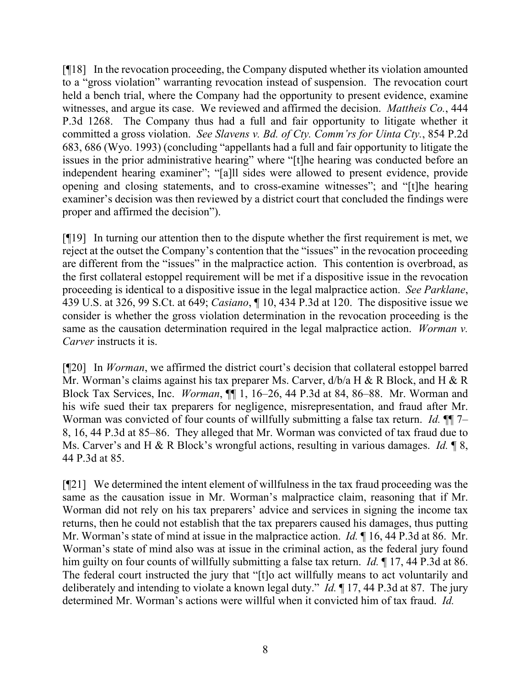[¶18] In the revocation proceeding, the Company disputed whether its violation amounted to a "gross violation" warranting revocation instead of suspension. The revocation court held a bench trial, where the Company had the opportunity to present evidence, examine witnesses, and argue its case. We reviewed and affirmed the decision. *Mattheis Co.*, 444 P.3d 1268. The Company thus had a full and fair opportunity to litigate whether it committed a gross violation. *See Slavens v. Bd. of Cty. Comm'rs for Uinta Cty.*, 854 P.2d 683, 686 (Wyo. 1993) (concluding "appellants had a full and fair opportunity to litigate the issues in the prior administrative hearing" where "[t]he hearing was conducted before an independent hearing examiner"; "[a]ll sides were allowed to present evidence, provide opening and closing statements, and to cross-examine witnesses"; and "[t]he hearing examiner's decision was then reviewed by a district court that concluded the findings were proper and affirmed the decision").

[¶19] In turning our attention then to the dispute whether the first requirement is met, we reject at the outset the Company's contention that the "issues" in the revocation proceeding are different from the "issues" in the malpractice action. This contention is overbroad, as the first collateral estoppel requirement will be met if a dispositive issue in the revocation proceeding is identical to a dispositive issue in the legal malpractice action. *See Parklane*, 439 U.S. at 326, 99 S.Ct. at 649; *Casiano*, ¶ 10, 434 P.3d at 120. The dispositive issue we consider is whether the gross violation determination in the revocation proceeding is the same as the causation determination required in the legal malpractice action. *Worman v. Carver* instructs it is.

[¶20] In *Worman*, we affirmed the district court's decision that collateral estoppel barred Mr. Worman's claims against his tax preparer Ms. Carver,  $d/b/a$  H & R Block, and H & R Block Tax Services, Inc. *Worman*, ¶¶ 1, 16–26, 44 P.3d at 84, 86–88. Mr. Worman and his wife sued their tax preparers for negligence, misrepresentation, and fraud after Mr. Worman was convicted of four counts of willfully submitting a false tax return. *Id.*  $\P$  7– 8, 16, 44 P.3d at 85–86. They alleged that Mr. Worman was convicted of tax fraud due to Ms. Carver's and H & R Block's wrongful actions, resulting in various damages. *Id.* ¶ 8, 44 P.3d at 85.

[¶21] We determined the intent element of willfulness in the tax fraud proceeding was the same as the causation issue in Mr. Worman's malpractice claim, reasoning that if Mr. Worman did not rely on his tax preparers' advice and services in signing the income tax returns, then he could not establish that the tax preparers caused his damages, thus putting Mr. Worman's state of mind at issue in the malpractice action. *Id.* ¶ 16, 44 P.3d at 86. Mr. Worman's state of mind also was at issue in the criminal action, as the federal jury found him guilty on four counts of willfully submitting a false tax return. *Id.* ¶ 17, 44 P.3d at 86. The federal court instructed the jury that "[t]o act willfully means to act voluntarily and deliberately and intending to violate a known legal duty." *Id.* ¶ 17, 44 P.3d at 87. The jury determined Mr. Worman's actions were willful when it convicted him of tax fraud. *Id.*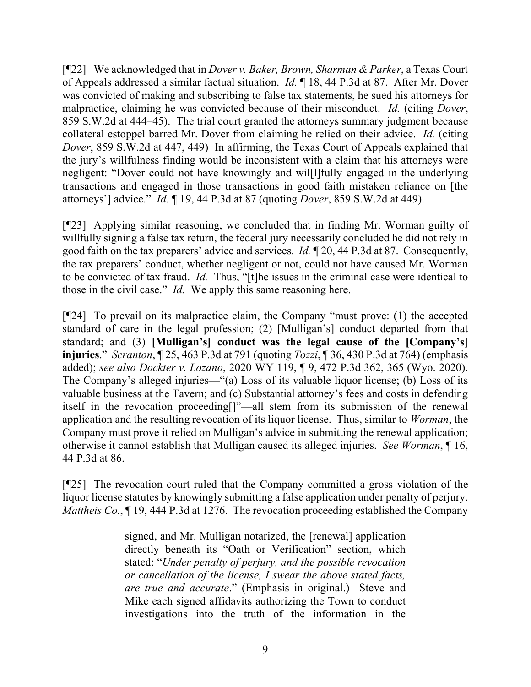[¶22] We acknowledged that in *Dover v. Baker, Brown, Sharman & Parker*, a Texas Court of Appeals addressed a similar factual situation. *Id.* ¶ 18, 44 P.3d at 87. After Mr. Dover was convicted of making and subscribing to false tax statements, he sued his attorneys for malpractice, claiming he was convicted because of their misconduct. *Id.* (citing *Dover*, 859 S.W.2d at 444–45). The trial court granted the attorneys summary judgment because collateral estoppel barred Mr. Dover from claiming he relied on their advice. *Id.* (citing *Dover*, 859 S.W.2d at 447, 449) In affirming, the Texas Court of Appeals explained that the jury's willfulness finding would be inconsistent with a claim that his attorneys were negligent: "Dover could not have knowingly and wil[l]fully engaged in the underlying transactions and engaged in those transactions in good faith mistaken reliance on [the attorneys'] advice." *Id.* ¶ 19, 44 P.3d at 87 (quoting *Dover*, 859 S.W.2d at 449).

[¶23] Applying similar reasoning, we concluded that in finding Mr. Worman guilty of willfully signing a false tax return, the federal jury necessarily concluded he did not rely in good faith on the tax preparers' advice and services. *Id.* ¶ 20, 44 P.3d at 87. Consequently, the tax preparers' conduct, whether negligent or not, could not have caused Mr. Worman to be convicted of tax fraud. *Id.* Thus, "[t]he issues in the criminal case were identical to those in the civil case." *Id.* We apply this same reasoning here.

[¶24] To prevail on its malpractice claim, the Company "must prove: (1) the accepted standard of care in the legal profession; (2) [Mulligan's] conduct departed from that standard; and (3) **[Mulligan's] conduct was the legal cause of the [Company's] injuries**." *Scranton*, ¶ 25, 463 P.3d at 791 (quoting *Tozzi*, ¶ 36, 430 P.3d at 764) (emphasis added); *see also Dockter v. Lozano*, 2020 WY 119, ¶ 9, 472 P.3d 362, 365 (Wyo. 2020). The Company's alleged injuries—"(a) Loss of its valuable liquor license; (b) Loss of its valuable business at the Tavern; and (c) Substantial attorney's fees and costs in defending itself in the revocation proceeding[]"—all stem from its submission of the renewal application and the resulting revocation of its liquor license. Thus, similar to *Worman*, the Company must prove it relied on Mulligan's advice in submitting the renewal application; otherwise it cannot establish that Mulligan caused its alleged injuries. *See Worman*, ¶ 16, 44 P.3d at 86.

[¶25] The revocation court ruled that the Company committed a gross violation of the liquor license statutes by knowingly submitting a false application under penalty of perjury. *Mattheis Co.*, 19, 444 P.3d at 1276. The revocation proceeding established the Company

> signed, and Mr. Mulligan notarized, the [renewal] application directly beneath its "Oath or Verification" section, which stated: "*Under penalty of perjury, and the possible revocation or cancellation of the license, I swear the above stated facts, are true and accurate*." (Emphasis in original.) Steve and Mike each signed affidavits authorizing the Town to conduct investigations into the truth of the information in the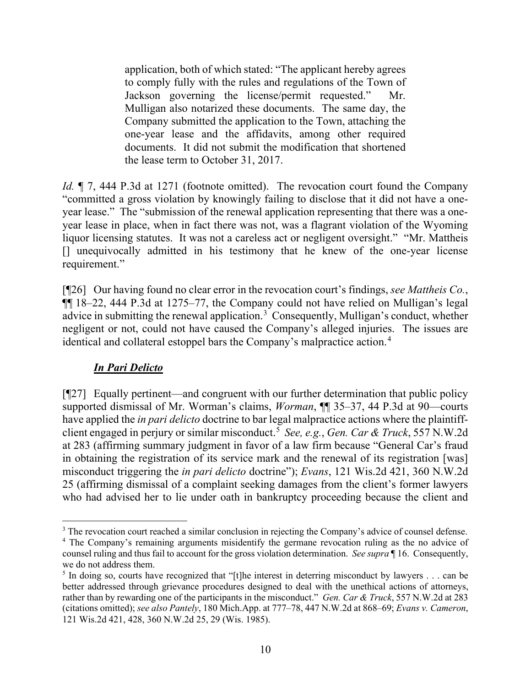application, both of which stated: "The applicant hereby agrees to comply fully with the rules and regulations of the Town of Jackson governing the license/permit requested." Mr. Mulligan also notarized these documents. The same day, the Company submitted the application to the Town, attaching the one-year lease and the affidavits, among other required documents. It did not submit the modification that shortened the lease term to October 31, 2017.

*Id.*  $\parallel$  7, 444 P.3d at 1271 (footnote omitted). The revocation court found the Company "committed a gross violation by knowingly failing to disclose that it did not have a oneyear lease." The "submission of the renewal application representing that there was a oneyear lease in place, when in fact there was not, was a flagrant violation of the Wyoming liquor licensing statutes. It was not a careless act or negligent oversight." "Mr. Mattheis [] unequivocally admitted in his testimony that he knew of the one-year license requirement."

[¶26] Our having found no clear error in the revocation court's findings, *see Mattheis Co.*, ¶¶ 18–22, 444 P.3d at 1275–77, the Company could not have relied on Mulligan's legal advice in submitting the renewal application.<sup>[3](#page-10-0)</sup> Consequently, Mulligan's conduct, whether negligent or not, could not have caused the Company's alleged injuries. The issues are identical and collateral estoppel bars the Company's malpractice action.[4](#page-10-1)

## *In Pari Delicto*

[¶27] Equally pertinent—and congruent with our further determination that public policy supported dismissal of Mr. Worman's claims, *Worman*, ¶¶ 35–37, 44 P.3d at 90—courts have applied the *in pari delicto* doctrine to bar legal malpractice actions where the plaintiffclient engaged in perjury or similar misconduct.[5](#page-10-2) *See, e.g.*, *Gen. Car & Truck*, 557 N.W.2d at 283 (affirming summary judgment in favor of a law firm because "General Car's fraud in obtaining the registration of its service mark and the renewal of its registration [was] misconduct triggering the *in pari delicto* doctrine"); *Evans*, 121 Wis.2d 421, 360 N.W.2d 25 (affirming dismissal of a complaint seeking damages from the client's former lawyers who had advised her to lie under oath in bankruptcy proceeding because the client and

<span id="page-10-0"></span><sup>&</sup>lt;sup>3</sup> The revocation court reached a similar conclusion in rejecting the Company's advice of counsel defense. <sup>4</sup> The Company's remaining arguments misidentify the germane revocation ruling as the no advice of

<span id="page-10-1"></span>counsel ruling and thus fail to account for the gross violation determination. *See supra* ¶ 16. Consequently, we do not address them.

<span id="page-10-2"></span><sup>&</sup>lt;sup>5</sup> In doing so, courts have recognized that "[t]he interest in deterring misconduct by lawyers . . . can be better addressed through grievance procedures designed to deal with the unethical actions of attorneys, rather than by rewarding one of the participants in the misconduct." *Gen. Car & Truck*, 557 N.W.2d at 283 (citations omitted); *see also Pantely*, 180 Mich.App. at 777–78, 447 N.W.2d at 868–69; *Evans v. Cameron*, 121 Wis.2d 421, 428, 360 N.W.2d 25, 29 (Wis. 1985).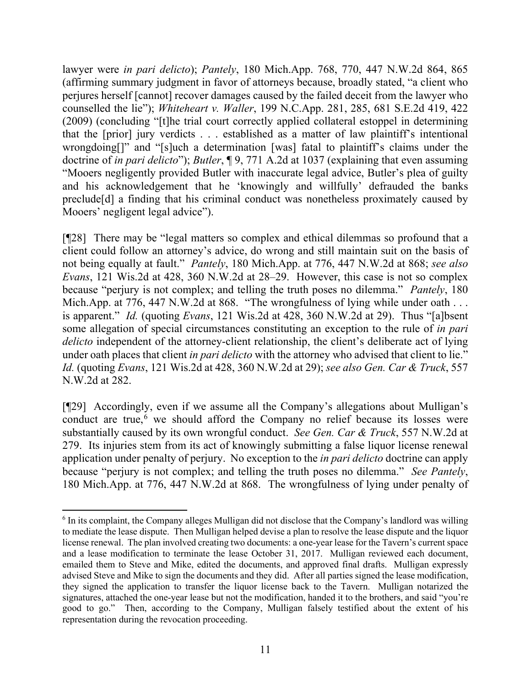lawyer were *in pari delicto*); *Pantely*, 180 Mich.App. 768, 770, 447 N.W.2d 864, 865 (affirming summary judgment in favor of attorneys because, broadly stated, "a client who perjures herself [cannot] recover damages caused by the failed deceit from the lawyer who counselled the lie"); *Whiteheart v. Waller*, 199 N.C.App. 281, 285, 681 S.E.2d 419, 422 (2009) (concluding "[t]he trial court correctly applied collateral estoppel in determining that the [prior] jury verdicts . . . established as a matter of law plaintiff's intentional wrongdoing<sup>[]"</sup> and "[s]uch a determination [was] fatal to plaintiff's claims under the doctrine of *in pari delicto*"); *Butler*, ¶ 9, 771 A.2d at 1037 (explaining that even assuming "Mooers negligently provided Butler with inaccurate legal advice, Butler's plea of guilty and his acknowledgement that he 'knowingly and willfully' defrauded the banks preclude[d] a finding that his criminal conduct was nonetheless proximately caused by Mooers' negligent legal advice").

[¶28] There may be "legal matters so complex and ethical dilemmas so profound that a client could follow an attorney's advice, do wrong and still maintain suit on the basis of not being equally at fault." *Pantely*, 180 Mich.App. at 776, 447 N.W.2d at 868; *see also Evans*, 121 Wis.2d at 428, 360 N.W.2d at 28–29. However, this case is not so complex because "perjury is not complex; and telling the truth poses no dilemma." *Pantely*, 180 Mich.App. at 776, 447 N.W.2d at 868. "The wrongfulness of lying while under oath . . . is apparent." *Id.* (quoting *Evans*, 121 Wis.2d at 428, 360 N.W.2d at 29). Thus "[a]bsent some allegation of special circumstances constituting an exception to the rule of *in pari delicto* independent of the attorney-client relationship, the client's deliberate act of lying under oath places that client *in pari delicto* with the attorney who advised that client to lie." *Id.* (quoting *Evans*, 121 Wis.2d at 428, 360 N.W.2d at 29); *see also Gen. Car & Truck*, 557 N.W.2d at 282.

[¶29] Accordingly, even if we assume all the Company's allegations about Mulligan's conduct are true, $6 \le s$  $6 \le s$  we should afford the Company no relief because its losses were substantially caused by its own wrongful conduct. *See Gen. Car & Truck*, 557 N.W.2d at 279. Its injuries stem from its act of knowingly submitting a false liquor license renewal application under penalty of perjury. No exception to the *in pari delicto* doctrine can apply because "perjury is not complex; and telling the truth poses no dilemma." *See Pantely*, 180 Mich.App. at 776, 447 N.W.2d at 868. The wrongfulness of lying under penalty of

<span id="page-11-0"></span><sup>6</sup> In its complaint, the Company alleges Mulligan did not disclose that the Company's landlord was willing to mediate the lease dispute. Then Mulligan helped devise a plan to resolve the lease dispute and the liquor license renewal. The plan involved creating two documents: a one-year lease for the Tavern's current space and a lease modification to terminate the lease October 31, 2017. Mulligan reviewed each document, emailed them to Steve and Mike, edited the documents, and approved final drafts. Mulligan expressly advised Steve and Mike to sign the documents and they did. After all parties signed the lease modification, they signed the application to transfer the liquor license back to the Tavern. Mulligan notarized the signatures, attached the one-year lease but not the modification, handed it to the brothers, and said "you're good to go." Then, according to the Company, Mulligan falsely testified about the extent of his representation during the revocation proceeding.